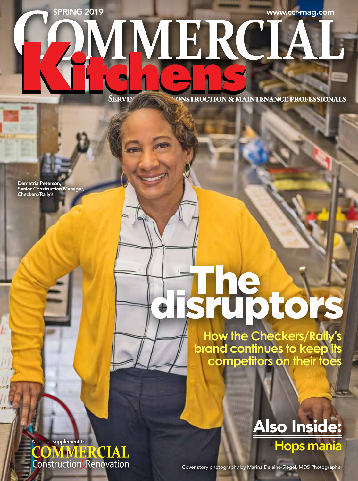SPRING 2019 [www.ccr-mag.com](http://www.ccr-mag.com) **KITCHER CONSTRUCTION & MAINTENANCE PROFESSIONALS** 

Demetria Peterson, Senior Construction Manager, Checkers/Rally's

# The dis

**How the Checkers/Rally's brand continues to keep its competitors on their toes**

A special supplement to:<br>**COMMERCIAL** Construction Renovation

# Also Inside: Hops mania

Cover story photography by Marina Delaine-Siegel, MDS Photographer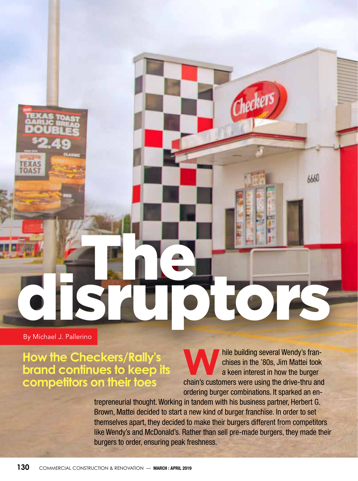By Michael J. Pallerino

mas

**How the Checkers/Rally's brand continues to keep its competitors on their toes**

hile building several Wendy's fran-<br>chises in the '80s, Jim Mattei took<br>a keen interest in how the burger<br>chain's customers were using the drive thru and chises in the '80s, Jim Mattei took a keen interest in how the burger chain's customers were using the drive-thru and ordering burger combinations. It sparked an en-

6660

trepreneurial thought. Working in tandem with his business partner, Herbert G. Brown, Mattei decided to start a new kind of burger franchise. In order to set themselves apart, they decided to make their burgers different from competitors like Wendy's and McDonald's. Rather than sell pre-made burgers, they made their burgers to order, ensuring peak freshness.

The disruptors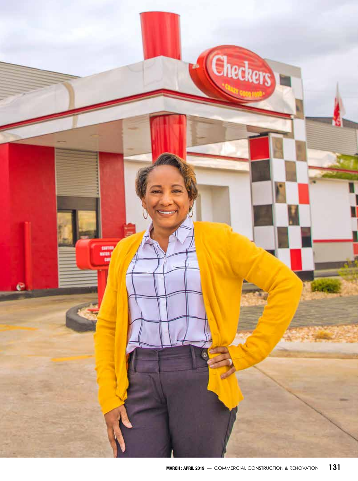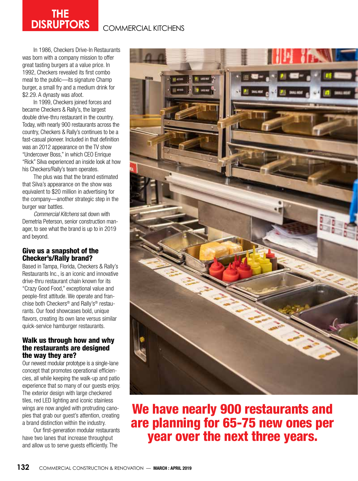### **THE DISRUPTORS** COMMERCIAL KITCHENS

In 1986, Checkers Drive-In Restaurants was born with a company mission to offer great tasting burgers at a value price. In 1992, Checkers revealed its first combo meal to the public—its signature Champ burger, a small fry and a medium drink for \$2.29. A dynasty was afoot.

In 1999, Checkers joined forces and became Checkers & Rally's, the largest double drive-thru restaurant in the country. Today, with nearly 900 restaurants across the country, Checkers & Rally's continues to be a fast-casual pioneer. Included in that definition was an 2012 appearance on the TV show "Undercover Boss," in which CEO Enrique "Rick" Silva experienced an inside look at how his Checkers/Rally's team operates.

The plus was that the brand estimated that Silva's appearance on the show was equivalent to \$20 million in advertising for the company—another strategic step in the burger war battles.

*Commercial Kitchens* sat down with Demetria Peterson, senior construction manager, to see what the brand is up to in 2019 and beyond.

### Give us a snapshot of the Checker's/Rally brand?

Based in Tampa, Florida, Checkers & Rally's Restaurants Inc., is an iconic and innovative drive-thru restaurant chain known for its "Crazy Good Food," exceptional value and people-first attitude. We operate and franchise both Checkers® and Rally's® restaurants. Our food showcases bold, unique flavors, creating its own lane versus similar quick-service hamburger restaurants.

### Walk us through how and why the restaurants are designed the way they are?

Our newest modular prototype is a single-lane concept that promotes operational efficiencies, all while keeping the walk-up and patio experience that so many of our guests enjoy. The exterior design with large checkered tiles, red LED lighting and iconic stainless wings are now angled with protruding canopies that grab our guest's attention, creating a brand distinction within the industry.

Our first-generation modular restaurants have two lanes that increase throughput and allow us to serve guests efficiently. The



# We have nearly 900 restaurants and are planning for 65-75 new ones per year over the next three years.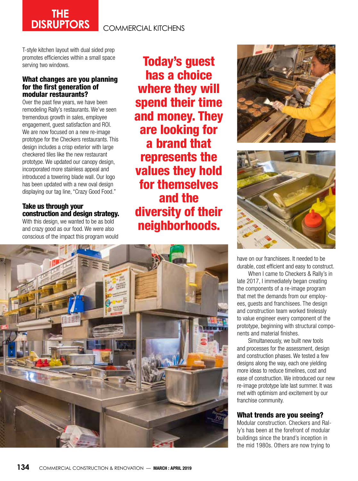## **DISRUPTORS** COMMERCIAL KITCHENS

T-style kitchen layout with dual sided prep promotes efficiencies within a small space serving two windows.

**THE** 

### What changes are you planning for the first generation of modular restaurants?

Over the past few years, we have been remodeling Rally's restaurants. We've seen tremendous growth in sales, employee engagement, guest satisfaction and ROI. We are now focused on a new re-image prototype for the Checkers restaurants. This design includes a crisp exterior with large checkered tiles like the new restaurant prototype. We updated our canopy design, incorporated more stainless appeal and introduced a towering blade wall. Our logo has been updated with a new oval design displaying our tag line, "Crazy Good Food."

### Take us through your construction and design strategy.

With this design, we wanted to be as bold and crazy good as our food. We were also conscious of the impact this program would

Today's guest has a choice where they will spend their time and money. They are looking for a brand that represents the values they hold for themselves and the diversity of their neighborhoods.





have on our franchisees. It needed to be durable, cost efficient and easy to construct.

When I came to Checkers & Rally's in late 2017, I immediately began creating the components of a re-image program that met the demands from our employees, guests and franchisees. The design and construction team worked tirelessly to value engineer every component of the prototype, beginning with structural components and material finishes.

Simultaneously, we built new tools and processes for the assessment, design and construction phases. We tested a few designs along the way, each one yielding more ideas to reduce timelines, cost and ease of construction. We introduced our new re-image prototype late last summer. It was met with optimism and excitement by our franchise community.

### What trends are you seeing?

Modular construction. Checkers and Rally's has been at the forefront of modular buildings since the brand's inception in the mid 1980s. Others are now trying to

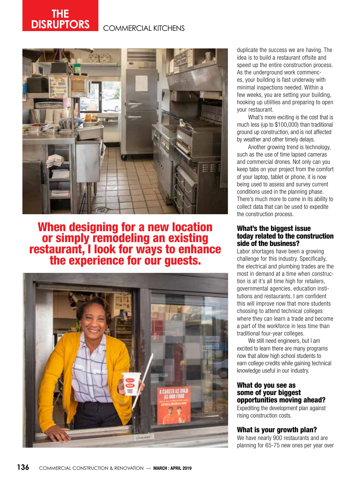### **THE DISRUPTORS** COMMERCIAL KITCHENS



# When designing for a new location or simply remodeling an existing restaurant, I look for ways to enhance the experience for our guests.



duplicate the success we are having. The idea is to build a restaurant offsite and speed up the entire construction process. As the underground work commences, your building is fast underway with minimal inspections needed. Within a few weeks, you are setting your building, hooking up utilities and preparing to open your restaurant.

What's more exciting is the cost that is much less (up to \$100,000) than traditional ground up construction, and is not affected by weather and other timely delays.

Another growing trend is technology, such as the use of time lapsed cameras and commercial drones. Not only can you keep tabs on your project from the comfort of your laptop, tablet or phone, it is now being used to assess and survey current conditions used in the planning phase. There's much more to come in its ability to collect data that can be used to expedite the construction process.

### What's the biggest issue today related to the construction side of the business?

Labor shortages have been a growing challenge for this industry. Specifically, the electrical and plumbing trades are the most in demand at a time when construction is at it's all time high for retailers, governmental agencies, education institutions and restaurants. I am confident this will improve now that more students choosing to attend technical colleges where they can learn a trade and become a part of the workforce in less time than traditional four-year colleges.

We still need engineers, but I am excited to learn there are many programs now that allow high school students to earn college credits while gaining technical knowledge useful in our industry.

### What do you see as some of your biggest opportunities moving ahead?

Expediting the development plan against rising construction costs.

### What is your growth plan?

We have nearly 900 restaurants and are planning for 65-75 new ones per year over